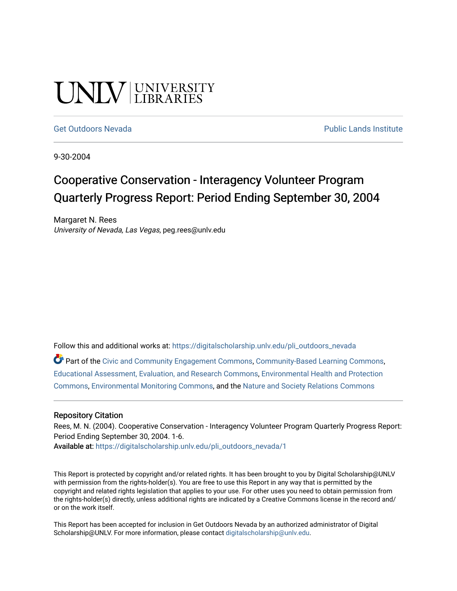# UNIV UNIVERSITY

#### [Get Outdoors Nevada](https://digitalscholarship.unlv.edu/pli_outdoors_nevada) **Public Lands Institute** Public Lands Institute

9-30-2004

## Cooperative Conservation - Interagency Volunteer Program Quarterly Progress Report: Period Ending September 30, 2004

Margaret N. Rees University of Nevada, Las Vegas, peg.rees@unlv.edu

Follow this and additional works at: [https://digitalscholarship.unlv.edu/pli\\_outdoors\\_nevada](https://digitalscholarship.unlv.edu/pli_outdoors_nevada?utm_source=digitalscholarship.unlv.edu%2Fpli_outdoors_nevada%2F1&utm_medium=PDF&utm_campaign=PDFCoverPages)

Part of the [Civic and Community Engagement Commons](http://network.bepress.com/hgg/discipline/1028?utm_source=digitalscholarship.unlv.edu%2Fpli_outdoors_nevada%2F1&utm_medium=PDF&utm_campaign=PDFCoverPages), [Community-Based Learning Commons](http://network.bepress.com/hgg/discipline/1046?utm_source=digitalscholarship.unlv.edu%2Fpli_outdoors_nevada%2F1&utm_medium=PDF&utm_campaign=PDFCoverPages), [Educational Assessment, Evaluation, and Research Commons,](http://network.bepress.com/hgg/discipline/796?utm_source=digitalscholarship.unlv.edu%2Fpli_outdoors_nevada%2F1&utm_medium=PDF&utm_campaign=PDFCoverPages) [Environmental Health and Protection](http://network.bepress.com/hgg/discipline/172?utm_source=digitalscholarship.unlv.edu%2Fpli_outdoors_nevada%2F1&utm_medium=PDF&utm_campaign=PDFCoverPages) [Commons](http://network.bepress.com/hgg/discipline/172?utm_source=digitalscholarship.unlv.edu%2Fpli_outdoors_nevada%2F1&utm_medium=PDF&utm_campaign=PDFCoverPages), [Environmental Monitoring Commons,](http://network.bepress.com/hgg/discipline/931?utm_source=digitalscholarship.unlv.edu%2Fpli_outdoors_nevada%2F1&utm_medium=PDF&utm_campaign=PDFCoverPages) and the [Nature and Society Relations Commons](http://network.bepress.com/hgg/discipline/357?utm_source=digitalscholarship.unlv.edu%2Fpli_outdoors_nevada%2F1&utm_medium=PDF&utm_campaign=PDFCoverPages)

#### Repository Citation

Rees, M. N. (2004). Cooperative Conservation - Interagency Volunteer Program Quarterly Progress Report: Period Ending September 30, 2004. 1-6. Available at: [https://digitalscholarship.unlv.edu/pli\\_outdoors\\_nevada/1](https://digitalscholarship.unlv.edu/pli_outdoors_nevada/1)

This Report is protected by copyright and/or related rights. It has been brought to you by Digital Scholarship@UNLV with permission from the rights-holder(s). You are free to use this Report in any way that is permitted by the copyright and related rights legislation that applies to your use. For other uses you need to obtain permission from the rights-holder(s) directly, unless additional rights are indicated by a Creative Commons license in the record and/ or on the work itself.

This Report has been accepted for inclusion in Get Outdoors Nevada by an authorized administrator of Digital Scholarship@UNLV. For more information, please contact [digitalscholarship@unlv.edu.](mailto:digitalscholarship@unlv.edu)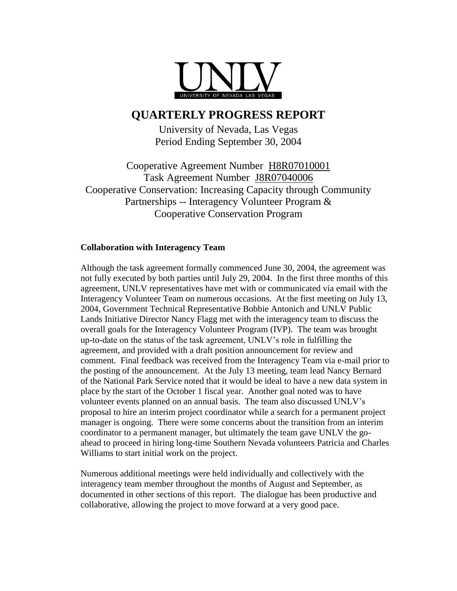

### **QUARTERLY PROGRESS REPORT**

University of Nevada, Las Vegas Period Ending September 30, 2004

Cooperative Agreement Number H8R07010001 Task Agreement Number J8R07040006 Cooperative Conservation: Increasing Capacity through Community Partnerships -- Interagency Volunteer Program & Cooperative Conservation Program

#### **Collaboration with Interagency Team**

Although the task agreement formally commenced June 30, 2004, the agreement was not fully executed by both parties until July 29, 2004. In the first three months of this agreement, UNLV representatives have met with or communicated via email with the Interagency Volunteer Team on numerous occasions. At the first meeting on July 13, 2004, Government Technical Representative Bobbie Antonich and UNLV Public Lands Initiative Director Nancy Flagg met with the interagency team to discuss the overall goals for the Interagency Volunteer Program (IVP). The team was brought up-to-date on the status of the task agreement, UNLV's role in fulfilling the agreement, and provided with a draft position announcement for review and comment. Final feedback was received from the Interagency Team via e-mail prior to the posting of the announcement. At the July 13 meeting, team lead Nancy Bernard of the National Park Service noted that it would be ideal to have a new data system in place by the start of the October 1 fiscal year. Another goal noted was to have volunteer events planned on an annual basis. The team also discussed UNLV's proposal to hire an interim project coordinator while a search for a permanent project manager is ongoing. There were some concerns about the transition from an interim coordinator to a permanent manager, but ultimately the team gave UNLV the goahead to proceed in hiring long-time Southern Nevada volunteers Patricia and Charles Williams to start initial work on the project.

Numerous additional meetings were held individually and collectively with the interagency team member throughout the months of August and September, as documented in other sections of this report. The dialogue has been productive and collaborative, allowing the project to move forward at a very good pace.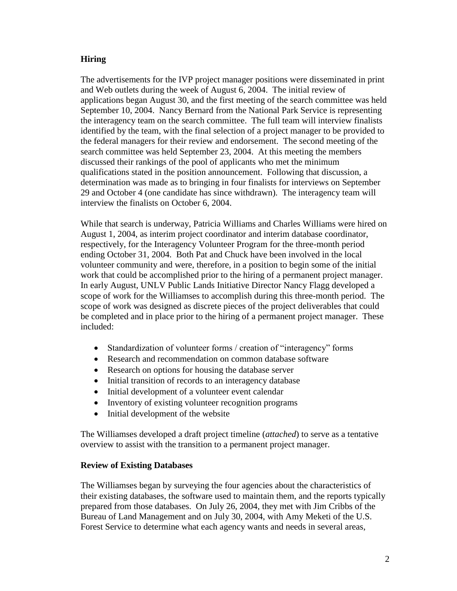#### **Hiring**

The advertisements for the IVP project manager positions were disseminated in print and Web outlets during the week of August 6, 2004. The initial review of applications began August 30, and the first meeting of the search committee was held September 10, 2004. Nancy Bernard from the National Park Service is representing the interagency team on the search committee. The full team will interview finalists identified by the team, with the final selection of a project manager to be provided to the federal managers for their review and endorsement. The second meeting of the search committee was held September 23, 2004. At this meeting the members discussed their rankings of the pool of applicants who met the minimum qualifications stated in the position announcement. Following that discussion, a determination was made as to bringing in four finalists for interviews on September 29 and October 4 (one candidate has since withdrawn). The interagency team will interview the finalists on October 6, 2004.

While that search is underway, Patricia Williams and Charles Williams were hired on August 1, 2004, as interim project coordinator and interim database coordinator, respectively, for the Interagency Volunteer Program for the three-month period ending October 31, 2004. Both Pat and Chuck have been involved in the local volunteer community and were, therefore, in a position to begin some of the initial work that could be accomplished prior to the hiring of a permanent project manager. In early August, UNLV Public Lands Initiative Director Nancy Flagg developed a scope of work for the Williamses to accomplish during this three-month period. The scope of work was designed as discrete pieces of the project deliverables that could be completed and in place prior to the hiring of a permanent project manager. These included:

- Standardization of volunteer forms / creation of "interagency" forms
- Research and recommendation on common database software
- Research on options for housing the database server
- Initial transition of records to an interagency database
- Initial development of a volunteer event calendar
- Inventory of existing volunteer recognition programs
- Initial development of the website

The Williamses developed a draft project timeline (*attached*) to serve as a tentative overview to assist with the transition to a permanent project manager.

#### **Review of Existing Databases**

The Williamses began by surveying the four agencies about the characteristics of their existing databases, the software used to maintain them, and the reports typically prepared from those databases. On July 26, 2004, they met with Jim Cribbs of the Bureau of Land Management and on July 30, 2004, with Amy Meketi of the U.S. Forest Service to determine what each agency wants and needs in several areas,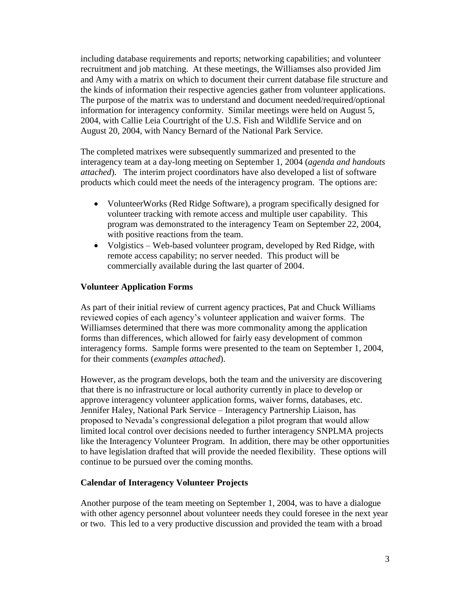including database requirements and reports; networking capabilities; and volunteer recruitment and job matching. At these meetings, the Williamses also provided Jim and Amy with a matrix on which to document their current database file structure and the kinds of information their respective agencies gather from volunteer applications. The purpose of the matrix was to understand and document needed/required/optional information for interagency conformity. Similar meetings were held on August 5, 2004, with Callie Leia Courtright of the U.S. Fish and Wildlife Service and on August 20, 2004, with Nancy Bernard of the National Park Service.

The completed matrixes were subsequently summarized and presented to the interagency team at a day-long meeting on September 1, 2004 (*agenda and handouts attached*). The interim project coordinators have also developed a list of software products which could meet the needs of the interagency program. The options are:

- VolunteerWorks (Red Ridge Software), a program specifically designed for volunteer tracking with remote access and multiple user capability. This program was demonstrated to the interagency Team on September 22, 2004, with positive reactions from the team.
- Volgistics Web-based volunteer program, developed by Red Ridge, with remote access capability; no server needed. This product will be commercially available during the last quarter of 2004.

#### **Volunteer Application Forms**

As part of their initial review of current agency practices, Pat and Chuck Williams reviewed copies of each agency's volunteer application and waiver forms. The Williamses determined that there was more commonality among the application forms than differences, which allowed for fairly easy development of common interagency forms. Sample forms were presented to the team on September 1, 2004, for their comments (*examples attached*).

However, as the program develops, both the team and the university are discovering that there is no infrastructure or local authority currently in place to develop or approve interagency volunteer application forms, waiver forms, databases, etc. Jennifer Haley, National Park Service – Interagency Partnership Liaison, has proposed to Nevada's congressional delegation a pilot program that would allow limited local control over decisions needed to further interagency SNPLMA projects like the Interagency Volunteer Program. In addition, there may be other opportunities to have legislation drafted that will provide the needed flexibility. These options will continue to be pursued over the coming months.

#### **Calendar of Interagency Volunteer Projects**

Another purpose of the team meeting on September 1, 2004, was to have a dialogue with other agency personnel about volunteer needs they could foresee in the next year or two. This led to a very productive discussion and provided the team with a broad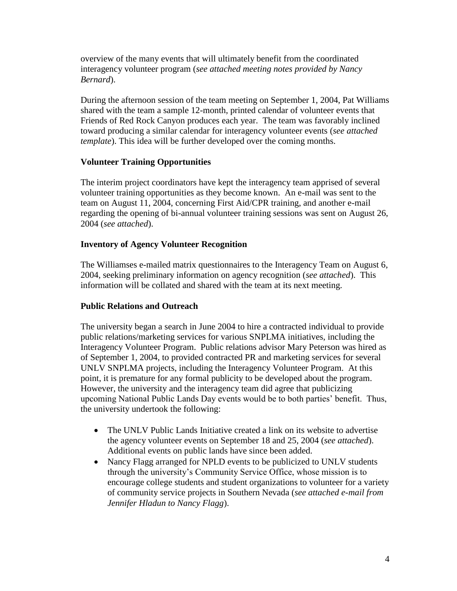overview of the many events that will ultimately benefit from the coordinated interagency volunteer program (*see attached meeting notes provided by Nancy Bernard*).

During the afternoon session of the team meeting on September 1, 2004, Pat Williams shared with the team a sample 12-month, printed calendar of volunteer events that Friends of Red Rock Canyon produces each year. The team was favorably inclined toward producing a similar calendar for interagency volunteer events (*see attached template*). This idea will be further developed over the coming months.

#### **Volunteer Training Opportunities**

The interim project coordinators have kept the interagency team apprised of several volunteer training opportunities as they become known. An e-mail was sent to the team on August 11, 2004, concerning First Aid/CPR training, and another e-mail regarding the opening of bi-annual volunteer training sessions was sent on August 26, 2004 (*see attached*).

#### **Inventory of Agency Volunteer Recognition**

The Williamses e-mailed matrix questionnaires to the Interagency Team on August 6, 2004, seeking preliminary information on agency recognition (*see attached*). This information will be collated and shared with the team at its next meeting.

#### **Public Relations and Outreach**

The university began a search in June 2004 to hire a contracted individual to provide public relations/marketing services for various SNPLMA initiatives, including the Interagency Volunteer Program. Public relations advisor Mary Peterson was hired as of September 1, 2004, to provided contracted PR and marketing services for several UNLV SNPLMA projects, including the Interagency Volunteer Program. At this point, it is premature for any formal publicity to be developed about the program. However, the university and the interagency team did agree that publicizing upcoming National Public Lands Day events would be to both parties' benefit. Thus, the university undertook the following:

- The UNLV Public Lands Initiative created a link on its website to advertise the agency volunteer events on September 18 and 25, 2004 (*see attached*). Additional events on public lands have since been added.
- Nancy Flagg arranged for NPLD events to be publicized to UNLV students through the university's Community Service Office, whose mission is to encourage college students and student organizations to volunteer for a variety of community service projects in Southern Nevada (*see attached e-mail from Jennifer Hladun to Nancy Flagg*).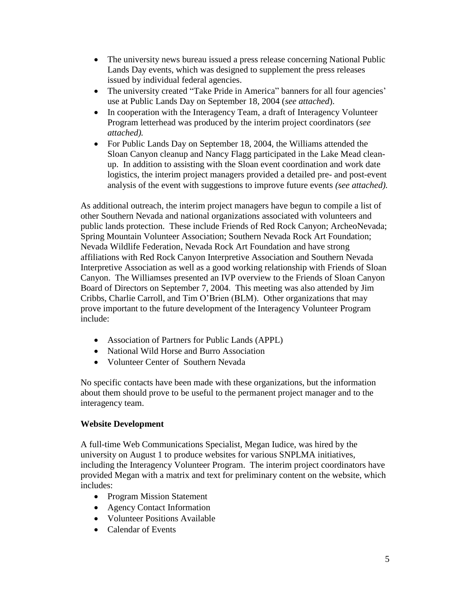- The university news bureau issued a press release concerning National Public Lands Day events, which was designed to supplement the press releases issued by individual federal agencies.
- The university created "Take Pride in America" banners for all four agencies' use at Public Lands Day on September 18, 2004 (*see attached*).
- In cooperation with the Interagency Team, a draft of Interagency Volunteer Program letterhead was produced by the interim project coordinators (*see attached).*
- For Public Lands Day on September 18, 2004, the Williams attended the Sloan Canyon cleanup and Nancy Flagg participated in the Lake Mead cleanup. In addition to assisting with the Sloan event coordination and work date logistics, the interim project managers provided a detailed pre- and post-event analysis of the event with suggestions to improve future events *(see attached).*

As additional outreach, the interim project managers have begun to compile a list of other Southern Nevada and national organizations associated with volunteers and public lands protection. These include Friends of Red Rock Canyon; ArcheoNevada; Spring Mountain Volunteer Association; Southern Nevada Rock Art Foundation; Nevada Wildlife Federation, Nevada Rock Art Foundation and have strong affiliations with Red Rock Canyon Interpretive Association and Southern Nevada Interpretive Association as well as a good working relationship with Friends of Sloan Canyon. The Williamses presented an IVP overview to the Friends of Sloan Canyon Board of Directors on September 7, 2004. This meeting was also attended by Jim Cribbs, Charlie Carroll, and Tim O'Brien (BLM). Other organizations that may prove important to the future development of the Interagency Volunteer Program include:

- Association of Partners for Public Lands (APPL)
- National Wild Horse and Burro Association
- Volunteer Center of Southern Nevada

No specific contacts have been made with these organizations, but the information about them should prove to be useful to the permanent project manager and to the interagency team.

#### **Website Development**

A full-time Web Communications Specialist, Megan Iudice, was hired by the university on August 1 to produce websites for various SNPLMA initiatives, including the Interagency Volunteer Program. The interim project coordinators have provided Megan with a matrix and text for preliminary content on the website, which includes:

- Program Mission Statement
- Agency Contact Information
- Volunteer Positions Available
- Calendar of Events